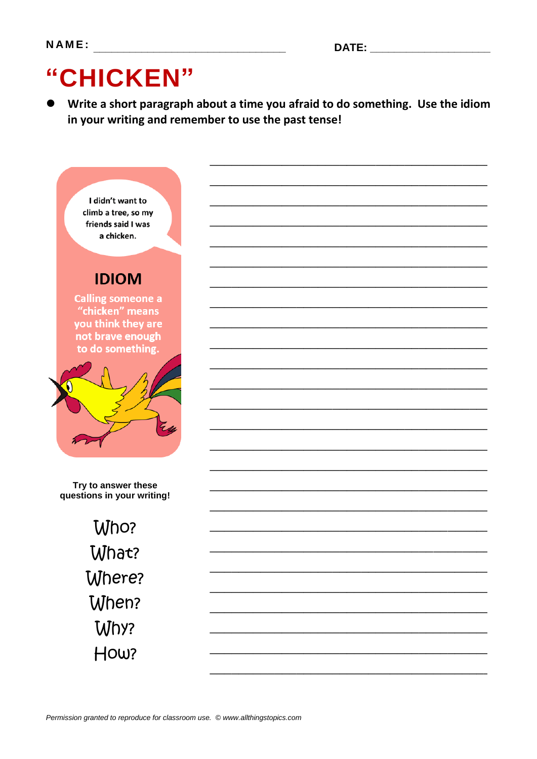# "CHICKEN"

Write a short paragraph about a time you afraid to do something. Use the idiom in your writing and remember to use the past tense!